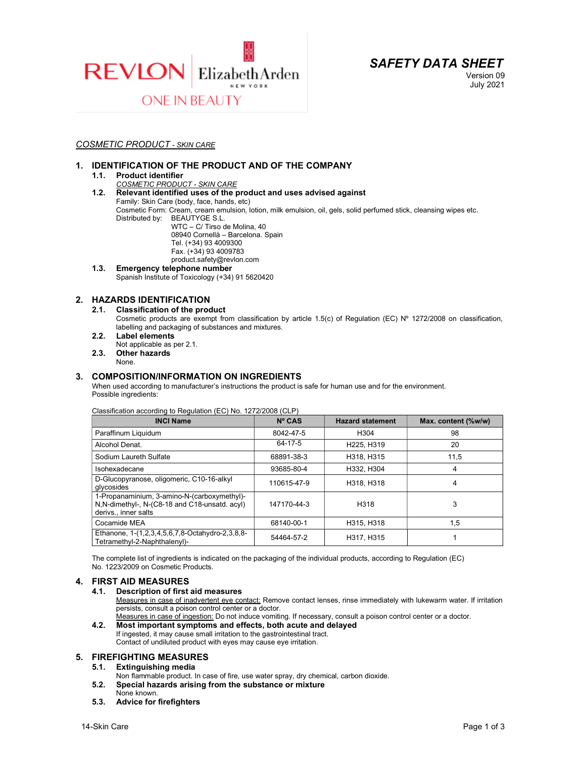



Version 09 July 2021

# COSMETIC PRODUCT - SKIN CARE

# 1. IDENTIFICATION OF THE PRODUCT AND OF THE COMPANY

## 1.1. Product identifier

## COSMETIC PRODUCT - SKIN CARE

1.2. Relevant identified uses of the product and uses advised against Family: Skin Care (body, face, hands, etc)

Cosmetic Form: Cream, cream emulsion, lotion, milk emulsion, oil, gels, solid perfumed stick, cleansing wipes etc. Distributed by: BEAUTYGE S.L. WTC – C/ Tirso de Molina, 40

 08940 Cornellà – Barcelona. Spain Tel. (+34) 93 4009300 Fax. (+34) 93 4009783 product.safety@revlon.com

1.3. Emergency telephone number Spanish Institute of Toxicology (+34) 91 5620420

# 2. HAZARDS IDENTIFICATION

## 2.1. Classification of the product

Cosmetic products are exempt from classification by article 1.5(c) of Regulation (EC)  $N^{\circ}$  1272/2008 on classification, labelling and packaging of substances and mixtures.

- 2.2. Label elements Not applicable as per 2.1.
- 2.3. Other hazards
	- None.

## 3. COMPOSITION/INFORMATION ON INGREDIENTS

When used according to manufacturer's instructions the product is safe for human use and for the environment. Possible ingredients:

#### Classification according to Regulation (EC) No. 1272/2008 (CLP)

| <b>INCI Name</b>                                                                                                      | $N^{\circ}$ CAS | <b>Hazard statement</b>             | Max. content (%w/w) |
|-----------------------------------------------------------------------------------------------------------------------|-----------------|-------------------------------------|---------------------|
| Paraffinum Liquidum                                                                                                   | 8042-47-5       | H <sub>304</sub>                    | 98                  |
| Alcohol Denat.                                                                                                        | 64-17-5         | H <sub>225</sub> . H <sub>319</sub> | 20                  |
| Sodium Laureth Sulfate                                                                                                | 68891-38-3      | H318, H315                          | 11.5                |
| Isohexadecane                                                                                                         | 93685-80-4      | H332. H304                          | 4                   |
| D-Glucopyranose, oligomeric, C10-16-alkyl<br>glycosides                                                               | 110615-47-9     | H318, H318                          | 4                   |
| 1-Propanaminium, 3-amino-N-(carboxymethyl)-<br>N, N-dimethyl-, N-(C8-18 and C18-unsatd. acyl)<br>derivs., inner salts | 147170-44-3     | H318                                | 3                   |
| Cocamide MEA                                                                                                          | 68140-00-1      | H315, H318                          | 1,5                 |
| Ethanone, 1-(1,2,3,4,5,6,7,8-Octahydro-2,3,8,8-<br>Tetramethyl-2-Naphthalenyl)-                                       | 54464-57-2      | H317, H315                          |                     |

The complete list of ingredients is indicated on the packaging of the individual products, according to Regulation (EC) No. 1223/2009 on Cosmetic Products.

#### 4. FIRST AID MEASURES

#### 4.1. Description of first aid measures

Measures in case of inadvertent eye contact: Remove contact lenses, rinse immediately with lukewarm water. If irritation persists, consult a poison control center or a doctor.

- Measures in case of ingestion: Do not induce vomiting. If necessary, consult a poison control center or a doctor. 4.2. Most important symptoms and effects, both acute and delayed
	- If ingested, it may cause small irritation to the gastrointestinal tract. Contact of undiluted product with eyes may cause eye irritation.

# 5. FIREFIGHTING MEASURES<br>5.1. Extinguishing media

- Extinguishing media
- Non flammable product. In case of fire, use water spray, dry chemical, carbon dioxide.
- 5.2. Special hazards arising from the substance or mixture
- None known.
- 5.3. Advice for firefighters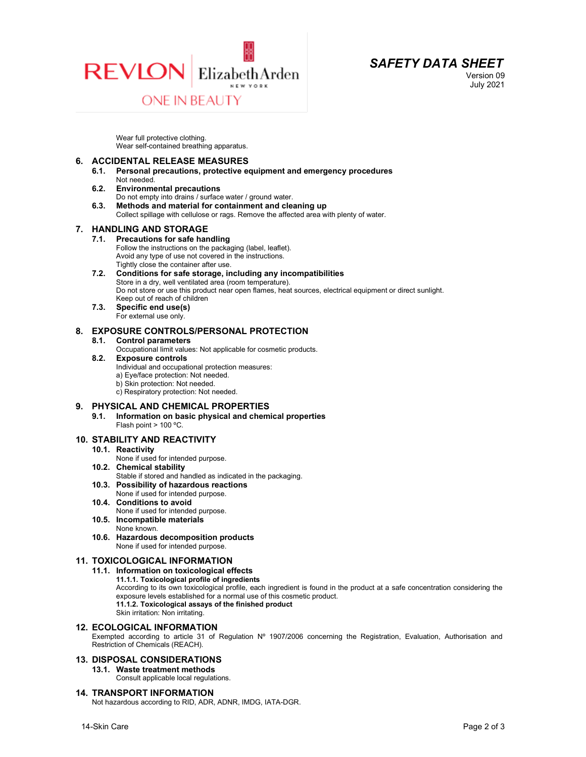



Version 09 July 2021

Wear full protective clothing. Wear self-contained breathing apparatus.

#### 6. ACCIDENTAL RELEASE MEASURES

- 6.1. Personal precautions, protective equipment and emergency procedures Not needed.
- 6.2. Environmental precautions
- Do not empty into drains / surface water / ground water. 6.3. Methods and material for containment and cleaning up Collect spillage with cellulose or rags. Remove the affected area with plenty of water.

#### 7. HANDLING AND STORAGE

#### 7.1. Precautions for safe handling

- Follow the instructions on the packaging (label, leaflet). Avoid any type of use not covered in the instructions. Tightly close the container after use.
- 7.2. Conditions for safe storage, including any incompatibilities Store in a dry, well ventilated area (room temperature). Do not store or use this product near open flames, heat sources, electrical equipment or direct sunlight. Keep out of reach of children
- 7.3. Specific end use(s) For external use only.

#### 8. EXPOSURE CONTROLS/PERSONAL PROTECTION

8.1. Control parameters

Occupational limit values: Not applicable for cosmetic products.

#### 8.2. Exposure controls

- Individual and occupational protection measures:
- a) Eye/face protection: Not needed.
- b) Skin protection: Not needed.
- c) Respiratory protection: Not needed.

#### 9. PHYSICAL AND CHEMICAL PROPERTIES

9.1. Information on basic physical and chemical properties Flash point > 100 ºC.

#### 10. STABILITY AND REACTIVITY

#### 10.1. Reactivity

- None if used for intended purpose.
- 10.2. Chemical stability
- Stable if stored and handled as indicated in the packaging.
- 10.3. Possibility of hazardous reactions
	- None if used for intended purpose.
- 10.4. Conditions to avoid
- None if used for intended purpose. 10.5. Incompatible materials
- None known.
- 10.6. Hazardous decomposition products
- None if used for intended purpose.

## 11. TOXICOLOGICAL INFORMATION

- 11.1. Information on toxicological effects
	- 11.1.1. Toxicological profile of ingredients

According to its own toxicological profile, each ingredient is found in the product at a safe concentration considering the exposure levels established for a normal use of this cosmetic product. 11.1.2. Toxicological assays of the finished product

12. ECOLOGICAL INFORMATION

Exempted according to article 31 of Regulation Nº 1907/2006 concerning the Registration, Evaluation, Authorisation and Restriction of Chemicals (REACH).

#### 13. DISPOSAL CONSIDERATIONS

13.1. Waste treatment methods

Skin irritation: Non irritating.

Consult applicable local regulations.

#### 14. TRANSPORT INFORMATION

Not hazardous according to RID, ADR, ADNR, IMDG, IATA-DGR.